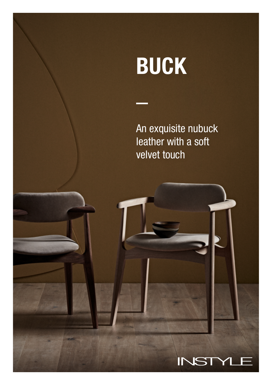# BUCK

An exquisite nubuck leather with a soft velvet touch

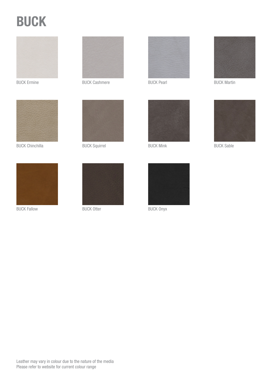## BUCK





BUCK Chinchilla



BUCK Ermine BUCK Cashmere



BUCK Squirrel



BUCK Fallow





BUCK Pearl





BUCK Martin



BUCK Mink BUCK Sable



BUCK Otter BUCK Onyx